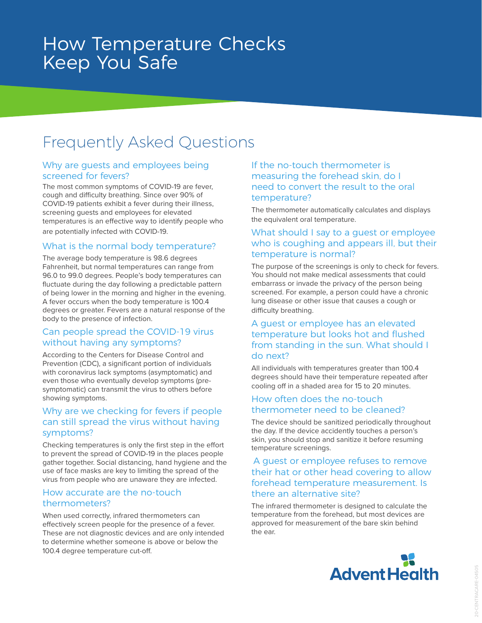# How Temperature Checks Keep You Safe

## Frequently Asked Questions

#### Why are guests and employees being screened for fevers?

The most common symptoms of COVID-19 are fever, cough and difficulty breathing. Since over 90% of COVID-19 patients exhibit a fever during their illness, screening guests and employees for elevated temperatures is an effective way to identify people who are potentially infected with COVID-19.

#### What is the normal body temperature?

The average body temperature is 98.6 degrees Fahrenheit, but normal temperatures can range from 96.0 to 99.0 degrees. People's body temperatures can fluctuate during the day following a predictable pattern of being lower in the morning and higher in the evening. A fever occurs when the body temperature is 100.4 degrees or greater. Fevers are a natural response of the body to the presence of infection.

#### Can people spread the COVID-19 virus without having any symptoms?

According to the Centers for Disease Control and Prevention (CDC), a significant portion of individuals with coronavirus lack symptoms (asymptomatic) and even those who eventually develop symptoms (presymptomatic) can transmit the virus to others before showing symptoms.

#### Why are we checking for fevers if people can still spread the virus without having symptoms?

Checking temperatures is only the first step in the effort to prevent the spread of COVID-19 in the places people gather together. Social distancing, hand hygiene and the use of face masks are key to limiting the spread of the virus from people who are unaware they are infected.

#### How accurate are the no-touch thermometers?

When used correctly, infrared thermometers can effectively screen people for the presence of a fever. These are not diagnostic devices and are only intended to determine whether someone is above or below the 100.4 degree temperature cut-off.

#### If the no-touch thermometer is measuring the forehead skin, do I need to convert the result to the oral temperature?

The thermometer automatically calculates and displays the equivalent oral temperature.

#### What should I say to a guest or employee who is coughing and appears ill, but their temperature is normal?

The purpose of the screenings is only to check for fevers. You should not make medical assessments that could embarrass or invade the privacy of the person being screened. For example, a person could have a chronic lung disease or other issue that causes a cough or difficulty breathing.

#### A guest or employee has an elevated temperature but looks hot and flushed from standing in the sun. What should I do next?

All individuals with temperatures greater than 100.4 degrees should have their temperature repeated after cooling off in a shaded area for 15 to 20 minutes.

#### How often does the no-touch thermometer need to be cleaned?

The device should be sanitized periodically throughout the day. If the device accidently touches a person's skin, you should stop and sanitize it before resuming temperature screenings.

#### A guest or employee refuses to remove their hat or other head covering to allow forehead temperature measurement. Is there an alternative site?

The infrared thermometer is designed to calculate the temperature from the forehead, but most devices are approved for measurement of the bare skin behind the ear.